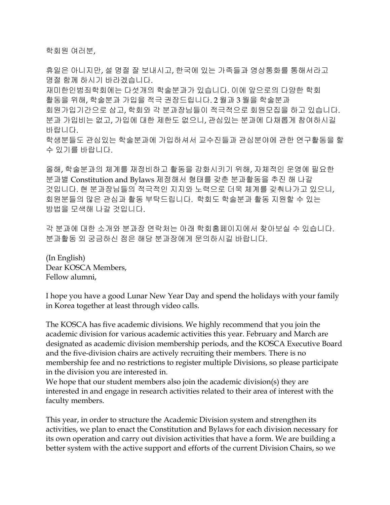학회원 여러분,

휴일은 아니지만, 설 명절 잘 보내시고, 한국에 있는 가족들과 영상통화를 통해서라고 명절 함께 하시기 바라겠습니다.

재미한인범죄학회에는 다섯개의 학술분과가 있습니다. 이에 앞으로의 다양한 학회 활동을 위해, 학술분과 가입을 적극 권장드립니다. 2 월과 3 월을 학술분과 회원가입기간으로 삼고, 학회와 각 분과장님들이 적극적으로 회원모집을 하고 있습니다. 분과 가입비는 없고, 가입에 대한 제한도 없으니, 관심있는 분과에 다채롭게 참여하시길 바랍니다.

학생분들도 관심있는 학술분과에 가입하셔서 교수진들과 관심분야에 관한 연구활동을 할 수 있기를 바랍니다.

올해, 학술분과의 체계를 재정비하고 활동을 강화시키기 위해, 자체적인 운영에 필요한 분과별 Constitution and Bylaws 제정해서 형태를 갖춘 분과활동을 추진 해 나갈 것입니다. 현 분과장님들의 적극적인 지지와 노력으로 더욱 체계를 갖춰나가고 있으니, 회원분들의 많은 관심과 활동 부탁드립니다. 학회도 학술분과 활동 지원할 수 있는 방법을 모색해 나갈 것입니다.

각 분과에 대한 소개와 분과장 연락처는 아래 학회홈페이지에서 찾아보실 수 있습니다. 분과활동 외 궁금하신 점은 해당 분과장에게 문의하시길 바랍니다.

(In English) Dear KOSCA Members, Fellow alumni,

I hope you have a good Lunar New Year Day and spend the holidays with your family in Korea together at least through video calls.

The KOSCA has five academic divisions. We highly recommend that you join the academic division for various academic activities this year. February and March are designated as academic division membership periods, and the KOSCA Executive Board and the five-division chairs are actively recruiting their members. There is no membership fee and no restrictions to register multiple Divisions, so please participate in the division you are interested in.

We hope that our student members also join the academic division(s) they are interested in and engage in research activities related to their area of interest with the faculty members.

This year, in order to structure the Academic Division system and strengthen its activities, we plan to enact the Constitution and Bylaws for each division necessary for its own operation and carry out division activities that have a form. We are building a better system with the active support and efforts of the current Division Chairs, so we